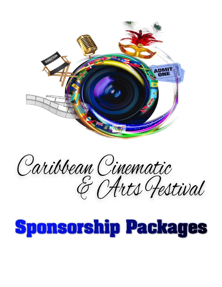

Caribbean Cinematic<br>& CArts Festival

# **Sponsorship Packages**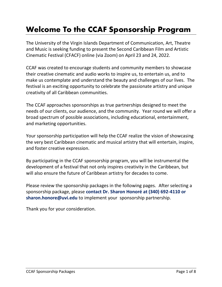## **Welcome To the CCAF Sponsorship Program**

The University of the Virgin Islands Department of Communication, Art, Theatre and Music is seeking funding to present the Second Caribbean Film and Artistic Cinematic Festival (CFACF) online (via Zoom) on April 23 and 24, 2022.

CCAF was created to encourage students and community members to showcase their creative cinematic and audio works to inspire us, to entertain us, and to make us contemplate and understand the beauty and challenges of our lives. The festival is an exciting opportunity to celebrate the passionate artistry and unique creativity of all Caribbean communities.

The CCAF approaches sponsorships as true partnerships designed to meet the needs of our clients, our audience, and the community. Year round we will offer a broad spectrum of possible associations, including educational, entertainment, and marketing opportunities.

Your sponsorship participation will help the CCAF realize the vision of showcasing the very best Caribbean cinematic and musical artistry that will entertain, inspire, and foster creative expression.

By participating in the CCAF sponsorship program, you will be instrumental the development of a festival that not only inspires creativity in the Caribbean, but will also ensure the future of Caribbean artistry for decades to come.

Please review the sponsorship packages in the following pages. After selecting a sponsorship package, please **contact Dr. Sharon Honoré at (340) 692-4110 or sharon.honore@uvi.edu** to implement your sponsorship partnership.

Thank you for your consideration.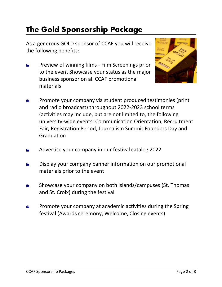#### **The Gold Sponsorship Package**

As a generous GOLD sponsor of CCAF you will receive the following benefits:

Preview of winning films - Film Screenings prior  $\frac{1}{2}$ to the event Showcase your status as the major business sponsor on all CCAF promotional materials



- Promote your company via student produced testimonies (print and radio broadcast) throughout 2022-2023 school terms (activities may include, but are not limited to, the following university-wide events: Communication Orientation, Recruitment Fair, Registration Period, Journalism Summit Founders Day and Graduation
- Advertise your company in our festival catalog 2022
- Display your company banner information on our promotional materials prior to the event
- Showcase your company on both islands/campuses (St. Thomas and St. Croix) during the festival
- Promote your company at academic activities during the Spring festival (Awards ceremony, Welcome, Closing events)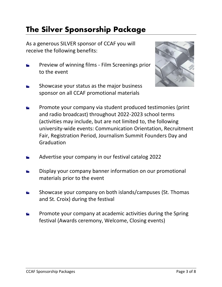#### **The Silver Sponsorship Package**

As a generous SILVER sponsor of CCAF you will receive the following benefits:

- Preview of winning films Film Screenings prior to the event
- Showcase your status as the major business sponsor on all CCAF promotional materials



- Promote your company via student produced testimonies (print and radio broadcast) throughout 2022-2023 school terms (activities may include, but are not limited to, the following university-wide events: Communication Orientation, Recruitment Fair, Registration Period, Journalism Summit Founders Day and Graduation
- Advertise your company in our festival catalog 2022
- Display your company banner information on our promotional  $\frac{1}{2}$ materials prior to the event
- Showcase your company on both islands/campuses (St. Thomas and St. Croix) during the festival
- Promote your company at academic activities during the Spring  $\frac{1}{2}$ festival (Awards ceremony, Welcome, Closing events)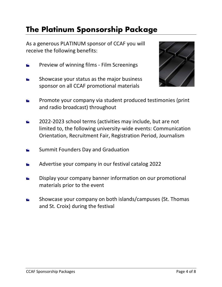#### **The Platinum Sponsorship Package**

As a generous PLATINUM sponsor of CCAF you will receive the following benefits:

- Preview of winning films Film Screenings  $\frac{1}{2}$
- Showcase your status as the major business sponsor on all CCAF promotional materials



- Promote your company via student produced testimonies (print and radio broadcast) throughout
- 2022-2023 school terms (activities may include, but are not  $\frac{1}{2}$ limited to, the following university-wide events: Communication Orientation, Recruitment Fair, Registration Period, Journalism
- Summit Founders Day and Graduation
- Advertise your company in our festival catalog 2022
- Display your company banner information on our promotional materials prior to the event
- Showcase your company on both islands/campuses (St. Thomas and St. Croix) during the festival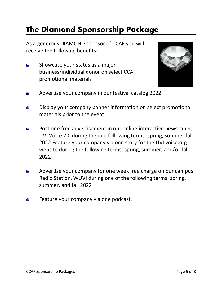#### **The Diamond Sponsorship Package**

As a generous DIAMOND sponsor of CCAF you will receive the following benefits:

Showcase your status as a major  $\frac{1}{2}$ business/individual donor on select CCAF promotional materials



- Advertise your company in our festival catalog 2022
- Display your company banner information on select promotional materials prior to the event
- Post one free advertisement in our online interactive newspaper,  $\frac{1}{2}$ UVI Voice 2.0 during the one following terms: spring, summer fall 2022 Feature your company via one story for the UVI voice.org website during the following terms: spring, summer, and/or fall 2022
- Advertise your company for one week free charge on our campus Radio Station, WUVI during one of the following terms: spring, summer, and fall 2022
- Feature your company via one podcast.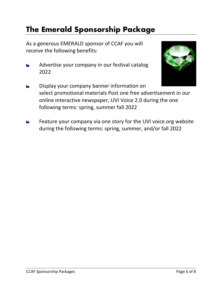### **The Emerald Sponsorship Package**

As a generous EMERALD sponsor of CCAF you will receive the following benefits:

Advertise your company in our festival catalog  $\overline{\mathbf{r}}$ 2022



- Display your company banner information on select promotional materials Post one free advertisement in our online interactive newspaper, UVI Voice 2.0 during the one following terms: spring, summer fall 2022
- Feature your company via one story for the UVI voice.org website  $\frac{1}{2}$ during the following terms: spring, summer, and/or fall 2022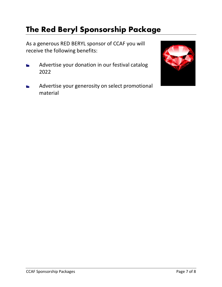## **The Red Beryl Sponsorship Package**

As a generous RED BERYL sponsor of CCAF you will receive the following benefits:

- Advertise your donation in our festival catalog  $\overline{\mathbf{r}}$ 2022
- Advertise your generosity on select promotional material